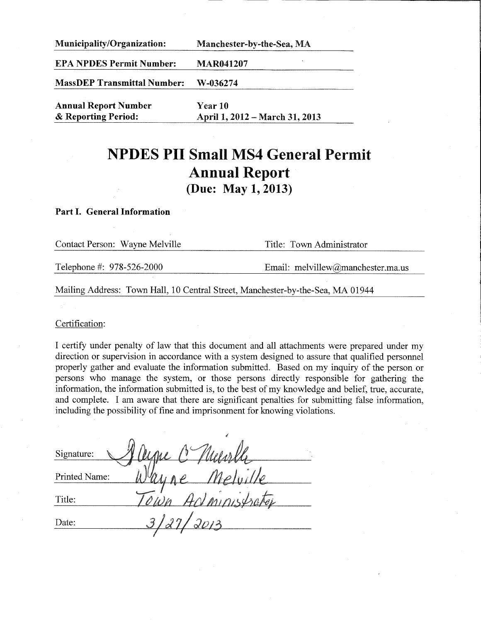| <b>Municipality/Organization:</b>  | Manchester-by-the-Sea, MA      |  |  |
|------------------------------------|--------------------------------|--|--|
| <b>EPA NPDES Permit Number:</b>    | <b>MAR041207</b>               |  |  |
| <b>MassDEP Transmittal Number:</b> | W-036274                       |  |  |
| <b>Annual Report Number</b>        | <b>Year 10</b>                 |  |  |
| & Reporting Period:                | April 1, 2012 – March 31, 2013 |  |  |

# **NPDES PII Small MS4 General Permit Annual Report** (Due: May 1, 2013)

#### Part I. General Information

| Contact Person: Wayne Melville | Title: Town Administrator         |  |  |
|--------------------------------|-----------------------------------|--|--|
| Telephone #: 978-526-2000      | Email: melvillew@manchester.ma.us |  |  |
|                                |                                   |  |  |

Mailing Address: Town Hall, 10 Central Street, Manchester-by-the-Sea, MA 01944

Certification:

I certify under penalty of law that this document and all attachments were prepared under my direction or supervision in accordance with a system designed to assure that qualified personnel properly gather and evaluate the information submitted. Based on my inquiry of the person or persons who manage the system, or those persons directly responsible for gathering the information, the information submitted is, to the best of my knowledge and belief, true, accurate, and complete. I am aware that there are significant penalties for submitting false information, including the possibility of fine and imprisonment for knowing violations.

| Signature:    | $\Lambda\Lambda\Lambda$ |  |
|---------------|-------------------------|--|
| Printed Name: |                         |  |
| Title:        |                         |  |
| Date:         | $\triangleleft$         |  |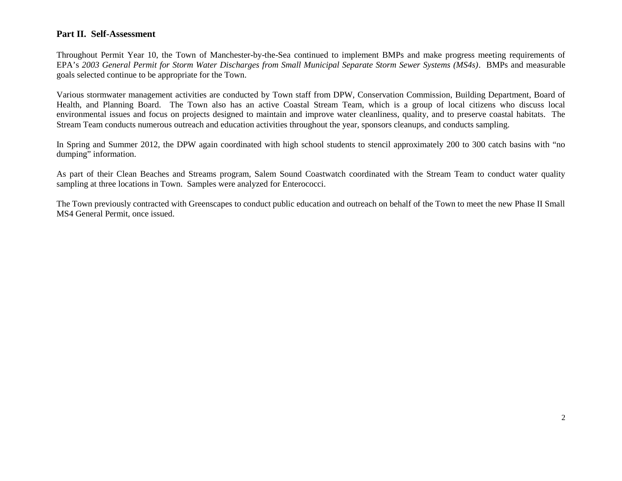### **Part II. Self-Assessment**

Throughout Permit Year 10, the Town of Manchester-by-the-Sea continued to implement BMPs and make progress meeting requirements of EPA's *2003 General Permit for Storm Water Discharges from Small Municipal Separate Storm Sewer Systems (MS4s)*. BMPs and measurable goals selected continue to be appropriate for the Town.

Various stormwater management activities are conducted by Town staff from DPW, Conservation Commission, Building Department, Board of Health, and Planning Board. The Town also has an active Coastal Stream Team, which is a group of local citizens who discuss local environmental issues and focus on projects designed to maintain and improve water cleanliness, quality, and to preserve coastal habitats. The Stream Team conducts numerous outreach and education activities throughout the year, sponsors cleanups, and conducts sampling.

In Spring and Summer 2012, the DPW again coordinated with high school students to stencil approximately 200 to 300 catch basins with "no dumping" information.

As part of their Clean Beaches and Streams program, Salem Sound Coastwatch coordinated with the Stream Team to conduct water quality sampling at three locations in Town. Samples were analyzed for Enterococci.

The Town previously contracted with Greenscapes to conduct public education and outreach on behalf of the Town to meet the new Phase II Small MS4 General Permit, once issued.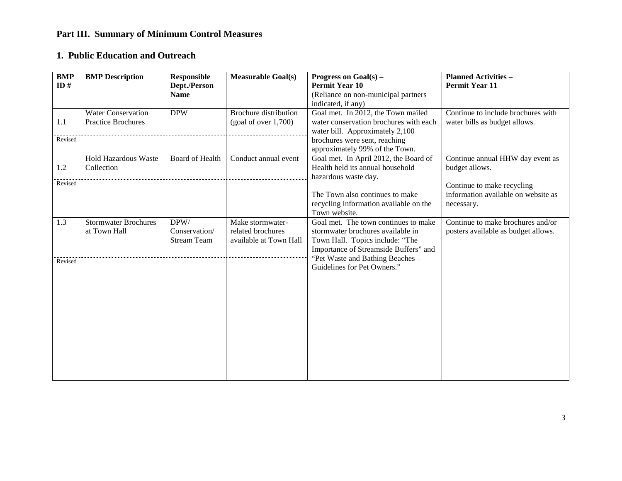# **Part III. Summary of Minimum Control Measures**

## **1. Public Education and Outreach**

| <b>BMP</b><br>ID# | <b>BMP</b> Description                                 | <b>Responsible</b><br>Dept./Person<br><b>Name</b> | <b>Measurable Goal(s)</b>                                       | Progress on $Goal(s)$ –<br><b>Permit Year 10</b><br>(Reliance on non-municipal partners<br>indicated, if any)                                         | <b>Planned Activities -</b><br><b>Permit Year 11</b>                            |
|-------------------|--------------------------------------------------------|---------------------------------------------------|-----------------------------------------------------------------|-------------------------------------------------------------------------------------------------------------------------------------------------------|---------------------------------------------------------------------------------|
| 1.1<br>Revised    | <b>Water Conservation</b><br><b>Practice Brochures</b> | <b>DPW</b>                                        | <b>Brochure</b> distribution<br>(goal of over 1,700)            | Goal met. In 2012, the Town mailed<br>water conservation brochures with each<br>water bill. Approximately 2,100<br>brochures were sent, reaching      | Continue to include brochures with<br>water bills as budget allows.             |
| 1.2<br>Revised    | <b>Hold Hazardous Waste</b><br>Collection              | <b>Board of Health</b>                            | Conduct annual event                                            | approximately 99% of the Town.<br>Goal met. In April 2012, the Board of<br>Health held its annual household<br>hazardous waste day.                   | Continue annual HHW day event as<br>budget allows.                              |
|                   |                                                        |                                                   |                                                                 | The Town also continues to make<br>recycling information available on the<br>Town website.                                                            | Continue to make recycling<br>information available on website as<br>necessary. |
| 1.3               | <b>Stormwater Brochures</b><br>at Town Hall            | DPW/<br>Conservation/<br><b>Stream Team</b>       | Make stormwater-<br>related brochures<br>available at Town Hall | Goal met. The town continues to make<br>stormwater brochures available in<br>Town Hall. Topics include: "The<br>Importance of Streamside Buffers" and | Continue to make brochures and/or<br>posters available as budget allows.        |
| Revised           |                                                        |                                                   |                                                                 | "Pet Waste and Bathing Beaches -<br>Guidelines for Pet Owners."                                                                                       |                                                                                 |
|                   |                                                        |                                                   |                                                                 |                                                                                                                                                       |                                                                                 |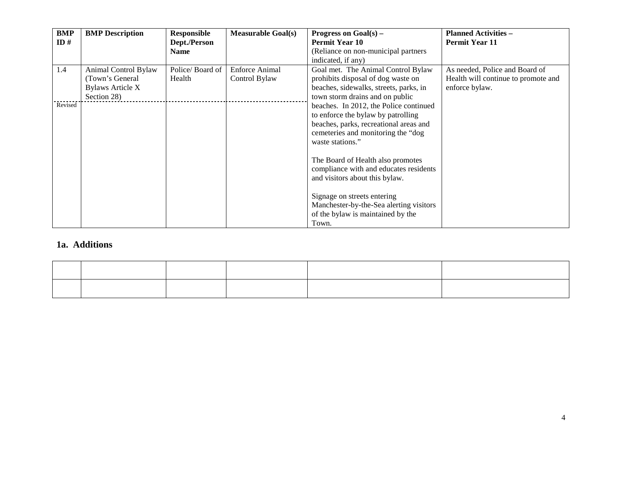| BMP     | <b>BMP</b> Description  | <b>Responsible</b> | <b>Measurable Goal(s)</b> | Progress on $Goal(s)$ –                 | <b>Planned Activities -</b>         |
|---------|-------------------------|--------------------|---------------------------|-----------------------------------------|-------------------------------------|
| ID#     |                         | Dept./Person       |                           | <b>Permit Year 10</b>                   | <b>Permit Year 11</b>               |
|         |                         | <b>Name</b>        |                           | (Reliance on non-municipal partners     |                                     |
|         |                         |                    |                           | indicated, if any)                      |                                     |
| 1.4     | Animal Control Bylaw    | Police/Board of    | <b>Enforce Animal</b>     | Goal met. The Animal Control Bylaw      | As needed, Police and Board of      |
|         | (Town's General         | Health             | Control Bylaw             | prohibits disposal of dog waste on      | Health will continue to promote and |
|         | <b>Bylaws Article X</b> |                    |                           | beaches, sidewalks, streets, parks, in  | enforce bylaw.                      |
|         | Section 28)             |                    |                           | town storm drains and on public         |                                     |
| Revised |                         |                    |                           | beaches. In 2012, the Police continued  |                                     |
|         |                         |                    |                           | to enforce the bylaw by patrolling      |                                     |
|         |                         |                    |                           | beaches, parks, recreational areas and  |                                     |
|         |                         |                    |                           | cemeteries and monitoring the "dog      |                                     |
|         |                         |                    |                           | waste stations."                        |                                     |
|         |                         |                    |                           |                                         |                                     |
|         |                         |                    |                           | The Board of Health also promotes       |                                     |
|         |                         |                    |                           | compliance with and educates residents  |                                     |
|         |                         |                    |                           | and visitors about this bylaw.          |                                     |
|         |                         |                    |                           |                                         |                                     |
|         |                         |                    |                           | Signage on streets entering             |                                     |
|         |                         |                    |                           | Manchester-by-the-Sea alerting visitors |                                     |
|         |                         |                    |                           | of the bylaw is maintained by the       |                                     |
|         |                         |                    |                           | Town.                                   |                                     |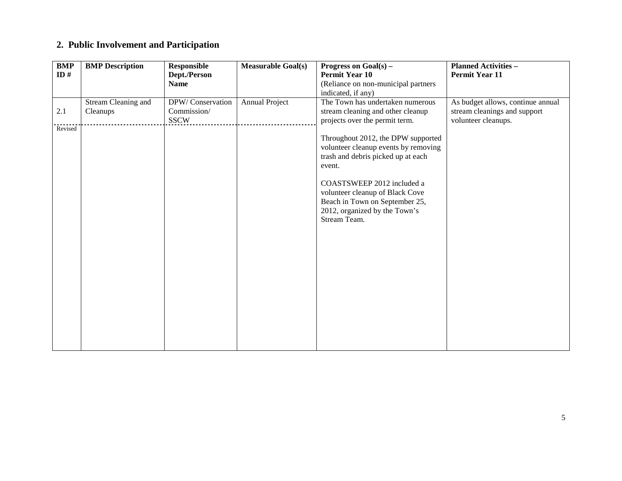# **2. Public Involvement and Participation**

| <b>BMP</b> | <b>BMP</b> Description | <b>Responsible</b> | <b>Measurable Goal(s)</b> | Progress on Goal(s) -                | <b>Planned Activities -</b>       |
|------------|------------------------|--------------------|---------------------------|--------------------------------------|-----------------------------------|
| ID $#$     |                        | Dept./Person       |                           | <b>Permit Year 10</b>                | <b>Permit Year 11</b>             |
|            |                        | <b>Name</b>        |                           | (Reliance on non-municipal partners  |                                   |
|            |                        |                    |                           | indicated, if any)                   |                                   |
|            | Stream Cleaning and    | DPW/Conservation   | <b>Annual Project</b>     | The Town has undertaken numerous     | As budget allows, continue annual |
| 2.1        | Cleanups               | Commission/        |                           | stream cleaning and other cleanup    | stream cleanings and support      |
|            |                        | <b>SSCW</b>        |                           | projects over the permit term.       | volunteer cleanups.               |
| Revised    |                        |                    |                           |                                      |                                   |
|            |                        |                    |                           | Throughout 2012, the DPW supported   |                                   |
|            |                        |                    |                           | volunteer cleanup events by removing |                                   |
|            |                        |                    |                           | trash and debris picked up at each   |                                   |
|            |                        |                    |                           | event.                               |                                   |
|            |                        |                    |                           | COASTSWEEP 2012 included a           |                                   |
|            |                        |                    |                           | volunteer cleanup of Black Cove      |                                   |
|            |                        |                    |                           | Beach in Town on September 25,       |                                   |
|            |                        |                    |                           | 2012, organized by the Town's        |                                   |
|            |                        |                    |                           | Stream Team.                         |                                   |
|            |                        |                    |                           |                                      |                                   |
|            |                        |                    |                           |                                      |                                   |
|            |                        |                    |                           |                                      |                                   |
|            |                        |                    |                           |                                      |                                   |
|            |                        |                    |                           |                                      |                                   |
|            |                        |                    |                           |                                      |                                   |
|            |                        |                    |                           |                                      |                                   |
|            |                        |                    |                           |                                      |                                   |
|            |                        |                    |                           |                                      |                                   |
|            |                        |                    |                           |                                      |                                   |
|            |                        |                    |                           |                                      |                                   |
|            |                        |                    |                           |                                      |                                   |
|            |                        |                    |                           |                                      |                                   |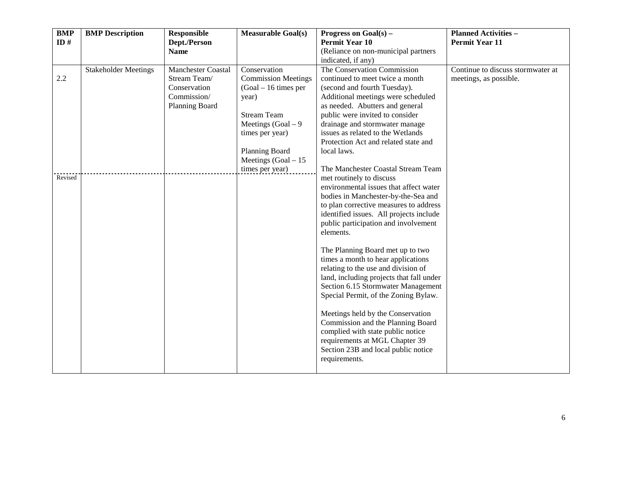| <b>BMP</b> | <b>BMP</b> Description      | Responsible               | <b>Measurable Goal(s)</b>                | Progress on $Goal(s)$ –                                                | <b>Planned Activities -</b>       |
|------------|-----------------------------|---------------------------|------------------------------------------|------------------------------------------------------------------------|-----------------------------------|
| ID#        |                             | Dept./Person              |                                          | <b>Permit Year 10</b>                                                  | <b>Permit Year 11</b>             |
|            |                             | <b>Name</b>               |                                          | (Reliance on non-municipal partners<br>indicated, if any)              |                                   |
|            | <b>Stakeholder Meetings</b> | <b>Manchester Coastal</b> | Conservation                             | The Conservation Commission                                            | Continue to discuss stormwater at |
| 2.2        |                             | Stream Team/              | <b>Commission Meetings</b>               | continued to meet twice a month                                        | meetings, as possible.            |
|            |                             | Conservation              | $(Goal - 16$ times per                   | (second and fourth Tuesday).                                           |                                   |
|            |                             | Commission/               | year)                                    | Additional meetings were scheduled                                     |                                   |
|            |                             | Planning Board            |                                          | as needed. Abutters and general                                        |                                   |
|            |                             |                           | <b>Stream Team</b>                       | public were invited to consider                                        |                                   |
|            |                             |                           | Meetings $(Goal - 9)$                    | drainage and stormwater manage                                         |                                   |
|            |                             |                           | times per year)                          | issues as related to the Wetlands                                      |                                   |
|            |                             |                           |                                          | Protection Act and related state and<br>local laws.                    |                                   |
|            |                             |                           | Planning Board<br>Meetings $(Goal - 15)$ |                                                                        |                                   |
|            |                             |                           | times per year)                          | The Manchester Coastal Stream Team                                     |                                   |
| Revised    |                             |                           |                                          | met routinely to discuss                                               |                                   |
|            |                             |                           |                                          | environmental issues that affect water                                 |                                   |
|            |                             |                           |                                          | bodies in Manchester-by-the-Sea and                                    |                                   |
|            |                             |                           |                                          | to plan corrective measures to address                                 |                                   |
|            |                             |                           |                                          | identified issues. All projects include                                |                                   |
|            |                             |                           |                                          | public participation and involvement                                   |                                   |
|            |                             |                           |                                          | elements.                                                              |                                   |
|            |                             |                           |                                          | The Planning Board met up to two                                       |                                   |
|            |                             |                           |                                          | times a month to hear applications                                     |                                   |
|            |                             |                           |                                          | relating to the use and division of                                    |                                   |
|            |                             |                           |                                          | land, including projects that fall under                               |                                   |
|            |                             |                           |                                          | Section 6.15 Stormwater Management                                     |                                   |
|            |                             |                           |                                          | Special Permit, of the Zoning Bylaw.                                   |                                   |
|            |                             |                           |                                          |                                                                        |                                   |
|            |                             |                           |                                          | Meetings held by the Conservation<br>Commission and the Planning Board |                                   |
|            |                             |                           |                                          | complied with state public notice                                      |                                   |
|            |                             |                           |                                          | requirements at MGL Chapter 39                                         |                                   |
|            |                             |                           |                                          | Section 23B and local public notice                                    |                                   |
|            |                             |                           |                                          | requirements.                                                          |                                   |
|            |                             |                           |                                          |                                                                        |                                   |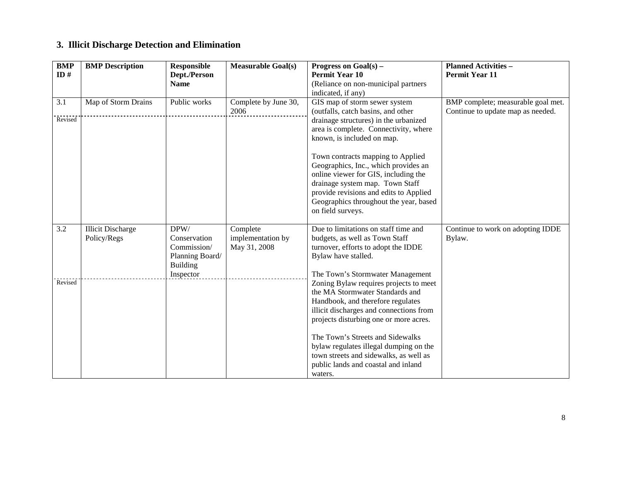# **3. Illicit Discharge Detection and Elimination**

| $\overline{BMP}$<br>ID# | <b>BMP</b> Description                  | <b>Responsible</b><br>Dept./Person                                                     | <b>Measurable Goal(s)</b>                     | Progress on $Goal(s)$ –<br><b>Permit Year 10</b>                                                                                                                                                                                                                                                                                                                                                                                                     | <b>Planned Activities -</b><br><b>Permit Year 11</b>                    |
|-------------------------|-----------------------------------------|----------------------------------------------------------------------------------------|-----------------------------------------------|------------------------------------------------------------------------------------------------------------------------------------------------------------------------------------------------------------------------------------------------------------------------------------------------------------------------------------------------------------------------------------------------------------------------------------------------------|-------------------------------------------------------------------------|
|                         |                                         | <b>Name</b>                                                                            |                                               | (Reliance on non-municipal partners<br>indicated, if any)                                                                                                                                                                                                                                                                                                                                                                                            |                                                                         |
| 3.1<br>Revised          | Map of Storm Drains                     | Public works                                                                           | Complete by June 30,<br>2006                  | GIS map of storm sewer system<br>(outfalls, catch basins, and other<br>drainage structures) in the urbanized<br>area is complete. Connectivity, where<br>known, is included on map.<br>Town contracts mapping to Applied<br>Geographics, Inc., which provides an<br>online viewer for GIS, including the<br>drainage system map. Town Staff<br>provide revisions and edits to Applied<br>Geographics throughout the year, based<br>on field surveys. | BMP complete; measurable goal met.<br>Continue to update map as needed. |
| $\overline{3.2}$        | <b>Illicit Discharge</b><br>Policy/Regs | DPW/<br>Conservation<br>Commission/<br>Planning Board/<br><b>Building</b><br>Inspector | Complete<br>implementation by<br>May 31, 2008 | Due to limitations on staff time and<br>budgets, as well as Town Staff<br>turnover, efforts to adopt the IDDE<br>Bylaw have stalled.<br>The Town's Stormwater Management                                                                                                                                                                                                                                                                             | Continue to work on adopting IDDE<br>Bylaw.                             |
| Revised                 |                                         |                                                                                        |                                               | Zoning Bylaw requires projects to meet<br>the MA Stormwater Standards and<br>Handbook, and therefore regulates<br>illicit discharges and connections from<br>projects disturbing one or more acres.<br>The Town's Streets and Sidewalks<br>bylaw regulates illegal dumping on the<br>town streets and sidewalks, as well as<br>public lands and coastal and inland<br>waters.                                                                        |                                                                         |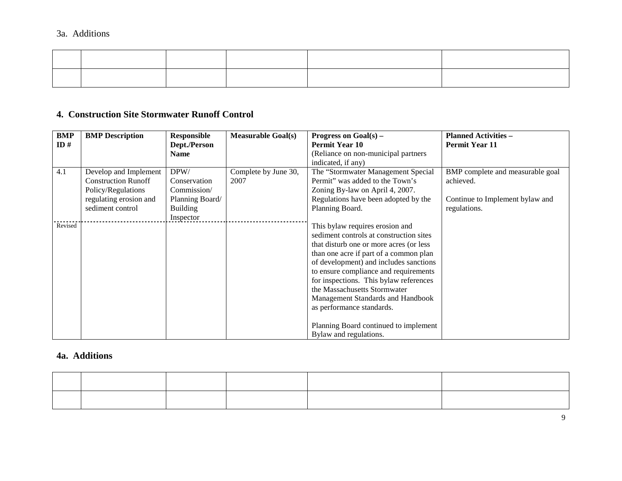### **4. Construction Site Stormwater Runoff Control**

| <b>BMP</b> | <b>BMP</b> Description     | <b>Responsible</b> | <b>Measurable Goal(s)</b> | Progress on $Goal(s)$ –                 | <b>Planned Activities -</b>      |
|------------|----------------------------|--------------------|---------------------------|-----------------------------------------|----------------------------------|
| ID#        |                            | Dept./Person       |                           | <b>Permit Year 10</b>                   | <b>Permit Year 11</b>            |
|            |                            | <b>Name</b>        |                           | (Reliance on non-municipal partners     |                                  |
|            |                            |                    |                           | indicated, if any)                      |                                  |
| 4.1        | Develop and Implement      | DPW/               | Complete by June 30,      | The "Stormwater Management Special      | BMP complete and measurable goal |
|            | <b>Construction Runoff</b> | Conservation       | 2007                      | Permit" was added to the Town's         | achieved.                        |
|            | Policy/Regulations         | Commission/        |                           | Zoning By-law on April 4, 2007.         |                                  |
|            | regulating erosion and     | Planning Board/    |                           | Regulations have been adopted by the    | Continue to Implement bylaw and  |
|            | sediment control           | <b>Building</b>    |                           | Planning Board.                         | regulations.                     |
|            |                            | Inspector          |                           |                                         |                                  |
| Revised    |                            |                    |                           | This bylaw requires erosion and         |                                  |
|            |                            |                    |                           | sediment controls at construction sites |                                  |
|            |                            |                    |                           | that disturb one or more acres (or less |                                  |
|            |                            |                    |                           | than one acre if part of a common plan  |                                  |
|            |                            |                    |                           | of development) and includes sanctions  |                                  |
|            |                            |                    |                           | to ensure compliance and requirements   |                                  |
|            |                            |                    |                           | for inspections. This bylaw references  |                                  |
|            |                            |                    |                           | the Massachusetts Stormwater            |                                  |
|            |                            |                    |                           | Management Standards and Handbook       |                                  |
|            |                            |                    |                           | as performance standards.               |                                  |
|            |                            |                    |                           |                                         |                                  |
|            |                            |                    |                           | Planning Board continued to implement   |                                  |
|            |                            |                    |                           | Bylaw and regulations.                  |                                  |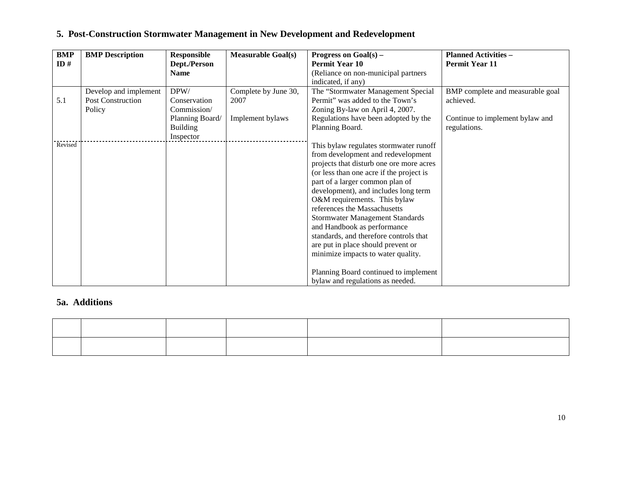| <b>BMP</b><br>ID $#$ | <b>BMP</b> Description   | <b>Responsible</b><br>Dept./Person<br><b>Name</b> | <b>Measurable Goal(s)</b> | Progress on $Goal(s)$ –<br><b>Permit Year 10</b><br>(Reliance on non-municipal partners                                                                                                                                                                                                                                                                                                                                                                                                                                                                                              | <b>Planned Activities -</b><br><b>Permit Year 11</b> |
|----------------------|--------------------------|---------------------------------------------------|---------------------------|--------------------------------------------------------------------------------------------------------------------------------------------------------------------------------------------------------------------------------------------------------------------------------------------------------------------------------------------------------------------------------------------------------------------------------------------------------------------------------------------------------------------------------------------------------------------------------------|------------------------------------------------------|
|                      |                          |                                                   |                           | indicated, if any)                                                                                                                                                                                                                                                                                                                                                                                                                                                                                                                                                                   |                                                      |
|                      | Develop and implement    | DPW/                                              | Complete by June 30,      | The "Stormwater Management Special                                                                                                                                                                                                                                                                                                                                                                                                                                                                                                                                                   | BMP complete and measurable goal                     |
| 5.1                  | <b>Post Construction</b> | Conservation                                      | 2007                      | Permit" was added to the Town's                                                                                                                                                                                                                                                                                                                                                                                                                                                                                                                                                      | achieved.                                            |
|                      | Policy                   | Commission/                                       |                           | Zoning By-law on April 4, 2007.                                                                                                                                                                                                                                                                                                                                                                                                                                                                                                                                                      |                                                      |
|                      |                          | Planning Board/                                   | Implement bylaws          | Regulations have been adopted by the                                                                                                                                                                                                                                                                                                                                                                                                                                                                                                                                                 | Continue to implement bylaw and                      |
|                      |                          | <b>Building</b><br>Inspector                      |                           | Planning Board.                                                                                                                                                                                                                                                                                                                                                                                                                                                                                                                                                                      | regulations.                                         |
| Revised              |                          |                                                   |                           | This bylaw regulates stormwater runoff<br>from development and redevelopment<br>projects that disturb one ore more acres<br>(or less than one acre if the project is<br>part of a larger common plan of<br>development), and includes long term<br>O&M requirements. This bylaw<br>references the Massachusetts<br>Stormwater Management Standards<br>and Handbook as performance<br>standards, and therefore controls that<br>are put in place should prevent or<br>minimize impacts to water quality.<br>Planning Board continued to implement<br>bylaw and regulations as needed. |                                                      |

# **5. Post-Construction Stormwater Management in New Development and Redevelopment**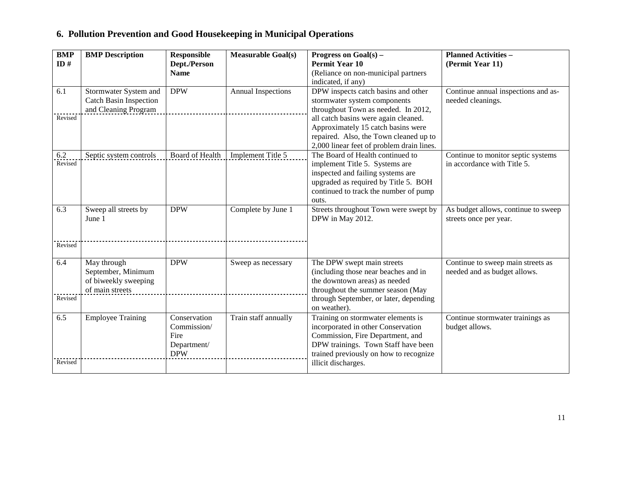# **6. Pollution Prevention and Good Housekeeping in Municipal Operations**

| <b>BMP</b><br>ID# | <b>BMP</b> Description<br><b>Responsible</b><br><b>Measurable Goal(s)</b><br>Progress on Goal(s) –<br><b>Permit Year 10</b><br>Dept./Person<br><b>Name</b> |                                                                  |                           | (Reliance on non-municipal partners                                                                                                                                                                      | <b>Planned Activities -</b><br>(Permit Year 11)                   |
|-------------------|------------------------------------------------------------------------------------------------------------------------------------------------------------|------------------------------------------------------------------|---------------------------|----------------------------------------------------------------------------------------------------------------------------------------------------------------------------------------------------------|-------------------------------------------------------------------|
| 6.1               | Stormwater System and<br>Catch Basin Inspection                                                                                                            | <b>DPW</b>                                                       | <b>Annual Inspections</b> | indicated, if any)<br>DPW inspects catch basins and other<br>stormwater system components                                                                                                                | Continue annual inspections and as-<br>needed cleanings.          |
| Revised           | and Cleaning Program                                                                                                                                       |                                                                  |                           | throughout Town as needed. In 2012,<br>all catch basins were again cleaned.<br>Approximately 15 catch basins were<br>repaired. Also, the Town cleaned up to<br>2,000 linear feet of problem drain lines. |                                                                   |
| 6.2<br>Revised    | Septic system controls                                                                                                                                     | Board of Health                                                  | Implement Title 5         | The Board of Health continued to<br>implement Title 5. Systems are<br>inspected and failing systems are<br>upgraded as required by Title 5. BOH<br>continued to track the number of pump<br>outs.        | Continue to monitor septic systems<br>in accordance with Title 5. |
| 6.3               | Sweep all streets by<br>June 1                                                                                                                             | <b>DPW</b>                                                       | Complete by June 1        | Streets throughout Town were swept by<br>DPW in May 2012.                                                                                                                                                | As budget allows, continue to sweep<br>streets once per year.     |
| Revised           |                                                                                                                                                            |                                                                  |                           |                                                                                                                                                                                                          |                                                                   |
| 6.4<br>Revised    | May through<br>September, Minimum<br>of biweekly sweeping<br>of main streets                                                                               | <b>DPW</b>                                                       | Sweep as necessary        | The DPW swept main streets<br>(including those near beaches and in<br>the downtown areas) as needed<br>throughout the summer season (May<br>through September, or later, depending                       | Continue to sweep main streets as<br>needed and as budget allows. |
|                   |                                                                                                                                                            |                                                                  |                           | on weather).                                                                                                                                                                                             |                                                                   |
| 6.5               | <b>Employee Training</b>                                                                                                                                   | Conservation<br>Commission/<br>Fire<br>Department/<br><b>DPW</b> | Train staff annually      | Training on stormwater elements is<br>incorporated in other Conservation<br>Commission, Fire Department, and<br>DPW trainings. Town Staff have been<br>trained previously on how to recognize            | Continue stormwater trainings as<br>budget allows.                |
| Revised           |                                                                                                                                                            |                                                                  |                           | illicit discharges.                                                                                                                                                                                      |                                                                   |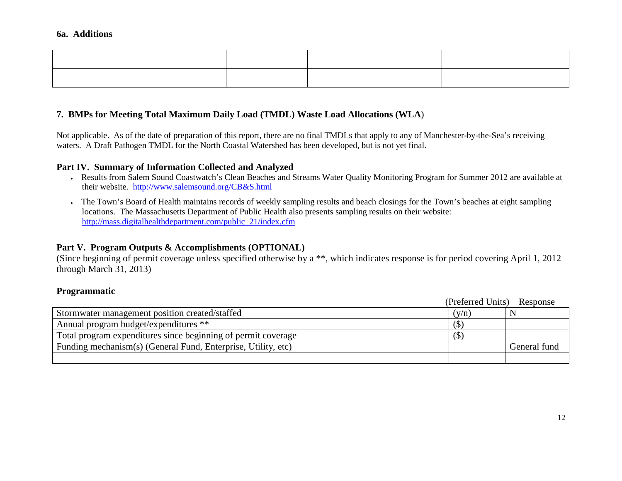### **7. BMPs for Meeting Total Maximum Daily Load (TMDL) Waste Load Allocations (WLA**)

Not applicable. As of the date of preparation of this report, there are no final TMDLs that apply to any of Manchester-by-the-Sea's receiving waters. A Draft Pathogen TMDL for the North Coastal Watershed has been developed, but is not yet final.

#### **Part IV. Summary of Information Collected and Analyzed**

- Results from Salem Sound Coastwatch's Clean Beaches and Streams Water Quality Monitoring Program for Summer 2012 are available at their website. http://www.salemsound.org/CB&S.html
- The Town's Board of Health maintains records of weekly sampling results and beach closings for the Town's beaches at eight sampling locations. The Massachusetts Department of Public Health also presents sampling results on their website: http://mass.digitalhealthdepartment.com/public\_21/index.cfm

### **Part V. Program Outputs & Accomplishments (OPTIONAL)**

(Since beginning of permit coverage unless specified otherwise by a \*\*, which indicates response is for period covering April 1, 2012 through March 31, 2013)

### **Programmatic**

|                                                               | (Preferred Units) | Response     |
|---------------------------------------------------------------|-------------------|--------------|
| Stormwater management position created/staffed                | (v/n)             |              |
| Annual program budget/expenditures **                         | (S)               |              |
| Total program expenditures since beginning of permit coverage | $\sigma$          |              |
| Funding mechanism(s) (General Fund, Enterprise, Utility, etc) |                   | General fund |
|                                                               |                   |              |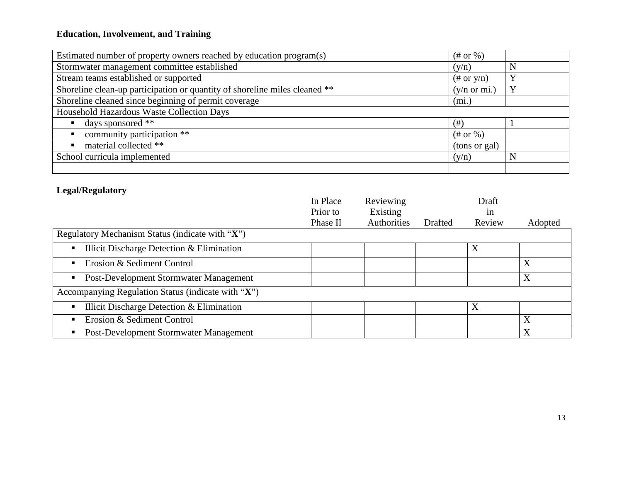# **Education, Involvement, and Training**

| Estimated number of property owners reached by education program(s)        | $(\#$ or %)             |              |
|----------------------------------------------------------------------------|-------------------------|--------------|
| Stormwater management committee established                                | (y/n)                   | N            |
| Stream teams established or supported                                      | $(\# \text{ or } y/n)$  | $\mathbf{v}$ |
| Shoreline clean-up participation or quantity of shoreline miles cleaned ** | $(y/n \text{ or } mi.)$ | $\mathbf{Y}$ |
| Shoreline cleaned since beginning of permit coverage                       | (mi.)                   |              |
| Household Hazardous Waste Collection Days                                  |                         |              |
| days sponsored **                                                          | $($ #)                  |              |
| community participation **                                                 | $(\#$ or %)             |              |
| material collected **                                                      | (tons or gal)           |              |
| School curricula implemented                                               | (y/n)                   | N            |
|                                                                            |                         |              |

## **Legal/Regulatory**

|                                                    | In Place | Reviewing   |         | Draft  |         |
|----------------------------------------------------|----------|-------------|---------|--------|---------|
|                                                    | Prior to | Existing    |         | 1n     |         |
|                                                    | Phase II | Authorities | Drafted | Review | Adopted |
| Regulatory Mechanism Status (indicate with "X")    |          |             |         |        |         |
| Illicit Discharge Detection & Elimination          |          |             |         | X      |         |
| Erosion & Sediment Control<br>$\blacksquare$       |          |             |         |        | X       |
| Post-Development Stormwater Management             |          |             |         |        | X       |
| Accompanying Regulation Status (indicate with "X") |          |             |         |        |         |
| Illicit Discharge Detection & Elimination          |          |             |         | X      |         |
| Erosion & Sediment Control                         |          |             |         |        | X       |
| Post-Development Stormwater Management             |          |             |         |        | X       |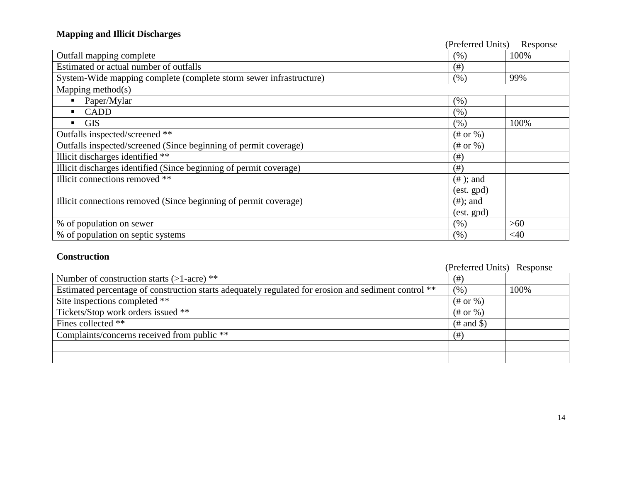# **Mapping and Illicit Discharges**

|                                                                    | (Preferred Units) | Response |
|--------------------------------------------------------------------|-------------------|----------|
| Outfall mapping complete                                           | (% )              | 100%     |
| Estimated or actual number of outfalls                             | $($ #)            |          |
| System-Wide mapping complete (complete storm sewer infrastructure) | (% )              | 99%      |
| Mapping method $(s)$                                               |                   |          |
| Paper/Mylar                                                        | (% )              |          |
| <b>CADD</b>                                                        | (% )              |          |
| <b>GIS</b>                                                         | (% )              | 100%     |
| Outfalls inspected/screened **                                     | $(\#$ or %)       |          |
| Outfalls inspected/screened (Since beginning of permit coverage)   | $(\#$ or %)       |          |
| Illicit discharges identified **                                   | (# )              |          |
| Illicit discharges identified (Since beginning of permit coverage) | (# )              |          |
| Illicit connections removed **                                     | $(\# )$ ; and     |          |
|                                                                    | (est. gpd)        |          |
| Illicit connections removed (Since beginning of permit coverage)   | $(\#);$ and       |          |
|                                                                    | (est. gpd)        |          |
| % of population on sewer                                           | (% )              | $>60$    |
| % of population on septic systems                                  | (% )              | <40      |

### **Construction**

|                                                                                                      | (Preferred Units) Response |      |
|------------------------------------------------------------------------------------------------------|----------------------------|------|
| Number of construction starts $(>1$ -acre) **                                                        | $($ #)                     |      |
| Estimated percentage of construction starts adequately regulated for erosion and sediment control ** | (%)                        | 100% |
| Site inspections completed **                                                                        | $(\#$ or %)                |      |
| Tickets/Stop work orders issued **                                                                   | $(\#$ or %)                |      |
| Fines collected **                                                                                   | $(\#$ and \$)              |      |
| Complaints/concerns received from public **                                                          | (# )                       |      |
|                                                                                                      |                            |      |
|                                                                                                      |                            |      |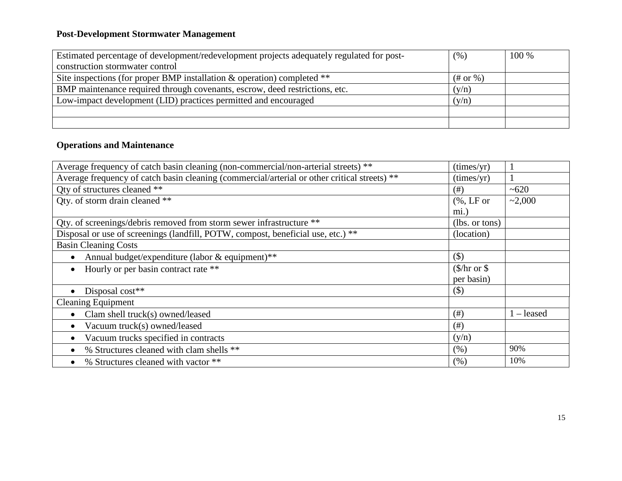# **Post-Development Stormwater Management**

| Estimated percentage of development/redevelopment projects adequately regulated for post- | (% )           | 100 % |
|-------------------------------------------------------------------------------------------|----------------|-------|
| construction stormwater control                                                           |                |       |
| Site inspections (for proper BMP installation $\&$ operation) completed **                | $(\#$ or $\%)$ |       |
| BMP maintenance required through covenants, escrow, deed restrictions, etc.               | (y/n)          |       |
| Low-impact development (LID) practices permitted and encouraged                           | (y/n)          |       |
|                                                                                           |                |       |
|                                                                                           |                |       |

## **Operations and Maintenance**

| Average frequency of catch basin cleaning (non-commercial/non-arterial streets) **           | (times/yr)                           |              |
|----------------------------------------------------------------------------------------------|--------------------------------------|--------------|
| Average frequency of catch basin cleaning (commercial/arterial or other critical streets) ** | (imes/yr)                            |              |
| Qty of structures cleaned **                                                                 | (# )                                 | ~100         |
| Qty. of storm drain cleaned **                                                               | $(%$ , LF or                         | ~2,000       |
|                                                                                              | mi.)                                 |              |
| Qty. of screenings/debris removed from storm sewer infrastructure **                         | (lbs. or tons)                       |              |
| Disposal or use of screenings (landfill, POTW, compost, beneficial use, etc.) **             | (location)                           |              |
| <b>Basin Cleaning Costs</b>                                                                  |                                      |              |
| Annual budget/expenditure (labor & equipment)**                                              | $($ \$)                              |              |
| Hourly or per basin contract rate **                                                         | $(\frac{\pi}{3})$ or $\frac{\pi}{3}$ |              |
|                                                                                              | per basin)                           |              |
| Disposal cost**                                                                              | $(\$)$                               |              |
| <b>Cleaning Equipment</b>                                                                    |                                      |              |
| Clam shell truck(s) owned/leased                                                             | $($ # $)$                            | $1 -$ leased |
| Vacuum truck(s) owned/leased                                                                 | $($ # $)$                            |              |
| Vacuum trucks specified in contracts                                                         | (y/n)                                |              |
| % Structures cleaned with clam shells **                                                     | (% )                                 | 90%          |
| % Structures cleaned with vactor **                                                          | (% )                                 | 10%          |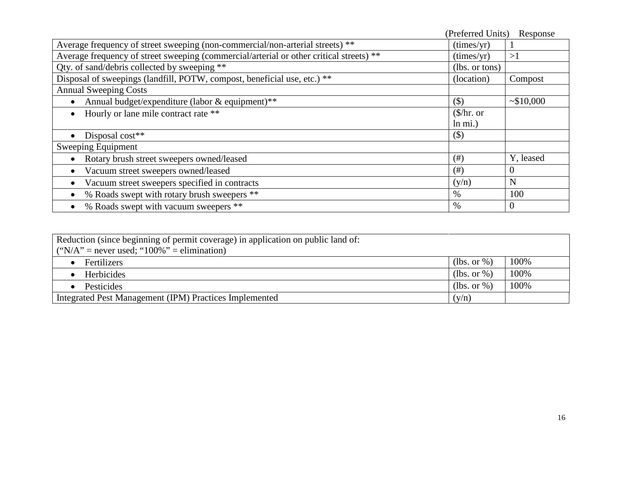|                                                                                         | (Preferred Units)      | Response       |
|-----------------------------------------------------------------------------------------|------------------------|----------------|
| Average frequency of street sweeping (non-commercial/non-arterial streets) **           | (imes/yr)              |                |
| Average frequency of street sweeping (commercial/arterial or other critical streets) ** | (imes/yr)              | >1             |
| Qty. of sand/debris collected by sweeping **                                            | (lbs. or tons)         |                |
| Disposal of sweepings (landfill, POTW, compost, beneficial use, etc.) **                | (location)             | Compost        |
| <b>Annual Sweeping Costs</b>                                                            |                        |                |
| Annual budget/expenditure (labor & equipment)**                                         | $(\$)$                 | ~10,000        |
| Hourly or lane mile contract rate **                                                    | $(\frac{1}{2})$ hr. or |                |
|                                                                                         | $ln \text{ mi.}$       |                |
| Disposal cost**                                                                         | $($ \$)                |                |
| Sweeping Equipment                                                                      |                        |                |
| Rotary brush street sweepers owned/leased                                               | (# )                   | Y, leased      |
| Vacuum street sweepers owned/leased                                                     | (# )                   | $\overline{0}$ |
| Vacuum street sweepers specified in contracts                                           | (y/n)                  | N              |
| % Roads swept with rotary brush sweepers **                                             | $\%$                   | 100            |
| % Roads swept with vacuum sweepers **                                                   | $\%$                   | $\theta$       |

| Reduction (since beginning of permit coverage) in application on public land of:<br>("N/A" = never used; " $100\%$ " = elimination) |             |      |
|-------------------------------------------------------------------------------------------------------------------------------------|-------------|------|
| <b>Fertilizers</b>                                                                                                                  | (lbs. or %) | 100% |
| Herbicides                                                                                                                          | (lbs. or %) | 100% |
| <b>Pesticides</b>                                                                                                                   | (lbs. or %) | 100% |
| Integrated Pest Management (IPM) Practices Implemented                                                                              | (v/n)       |      |